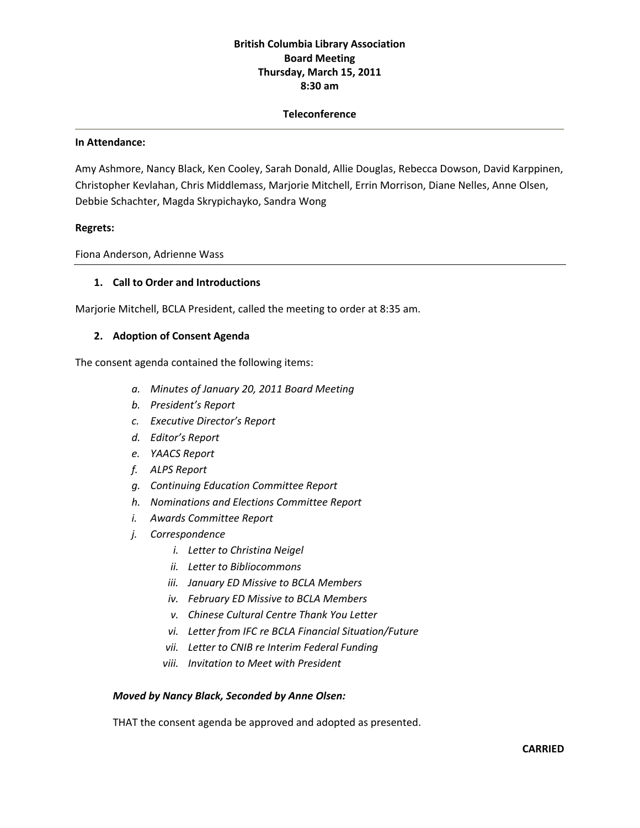# **British Columbia Library Association Board Meeting Thursday, March 15, 2011 8:30 am**

#### **Teleconference**

#### **In Attendance:**

Amy Ashmore, Nancy Black, Ken Cooley, Sarah Donald, Allie Douglas, Rebecca Dowson, David Karppinen, Christopher Kevlahan, Chris Middlemass, Marjorie Mitchell, Errin Morrison, Diane Nelles, Anne Olsen, Debbie Schachter, Magda Skrypichayko, Sandra Wong

#### **Regrets:**

Fiona Anderson, Adrienne Wass

#### **1. Call to Order and Introductions**

Marjorie Mitchell, BCLA President, called the meeting to order at 8:35 am.

#### **2. Adoption of Consent Agenda**

The consent agenda contained the following items:

- *a. Minutes of January 20, 2011 Board Meeting*
- *b. President's Report*
- *c. Executive Director's Report*
- *d. Editor's Report*
- *e. YAACS Report*
- *f. ALPS Report*
- *g. Continuing Education Committee Report*
- *h. Nominations and Elections Committee Report*
- *i. Awards Committee Report*
- *j. Correspondence*
	- *i. Letter to Christina Neigel*
	- *ii. Letter to Bibliocommons*
	- *iii. January ED Missive to BCLA Members*
	- *iv. February ED Missive to BCLA Members*
	- *v. Chinese Cultural Centre Thank You Letter*
	- *vi. Letter from IFC re BCLA Financial Situation/Future*
	- *vii. Letter to CNIB re Interim Federal Funding*
	- *viii. Invitation to Meet with President*

#### *Moved by Nancy Black, Seconded by Anne Olsen:*

THAT the consent agenda be approved and adopted as presented.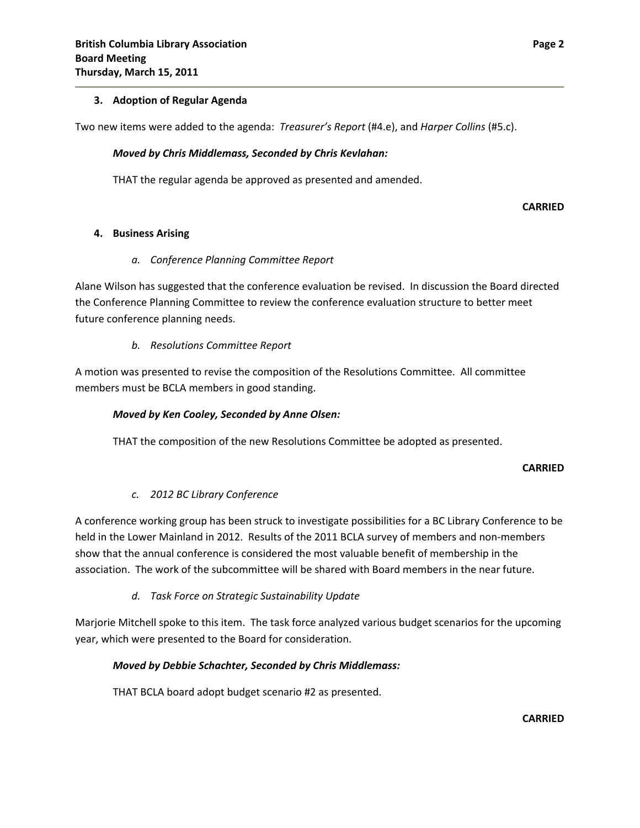### **3. Adoption of Regular Agenda**

Two new items were added to the agenda: *Treasurer's Report* (#4.e), and *Harper Collins* (#5.c).

### *Moved by Chris Middlemass, Seconded by Chris Kevlahan:*

THAT the regular agenda be approved as presented and amended.

**CARRIED**

### **4. Business Arising**

### *a. Conference Planning Committee Report*

Alane Wilson has suggested that the conference evaluation be revised. In discussion the Board directed the Conference Planning Committee to review the conference evaluation structure to better meet future conference planning needs.

### *b. Resolutions Committee Report*

A motion was presented to revise the composition of the Resolutions Committee. All committee members must be BCLA members in good standing.

#### *Moved by Ken Cooley, Seconded by Anne Olsen:*

THAT the composition of the new Resolutions Committee be adopted as presented.

#### **CARRIED**

## *c. 2012 BC Library Conference*

A conference working group has been struck to investigate possibilities for a BC Library Conference to be held in the Lower Mainland in 2012. Results of the 2011 BCLA survey of members and non‐members show that the annual conference is considered the most valuable benefit of membership in the association. The work of the subcommittee will be shared with Board members in the near future.

## *d. Task Force on Strategic Sustainability Update*

Marjorie Mitchell spoke to this item. The task force analyzed various budget scenarios for the upcoming year, which were presented to the Board for consideration.

## *Moved by Debbie Schachter, Seconded by Chris Middlemass:*

THAT BCLA board adopt budget scenario #2 as presented.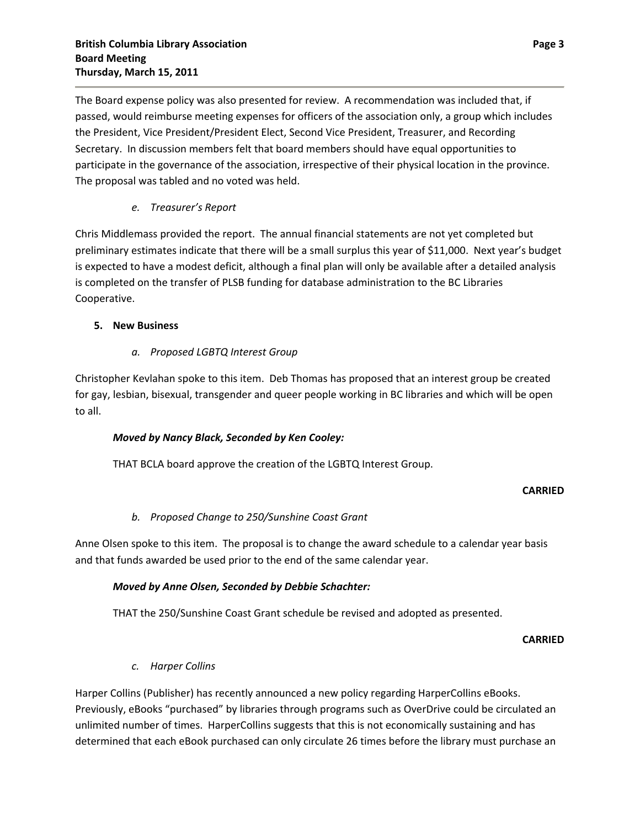The Board expense policy was also presented for review. A recommendation was included that, if passed, would reimburse meeting expenses for officers of the association only, a group which includes the President, Vice President/President Elect, Second Vice President, Treasurer, and Recording Secretary. In discussion members felt that board members should have equal opportunities to participate in the governance of the association, irrespective of their physical location in the province. The proposal was tabled and no voted was held.

# *e. Treasurer's Report*

Chris Middlemass provided the report. The annual financial statements are not yet completed but preliminary estimates indicate that there will be a small surplus this year of \$11,000. Next year's budget is expected to have a modest deficit, although a final plan will only be available after a detailed analysis is completed on the transfer of PLSB funding for database administration to the BC Libraries Cooperative.

## **5. New Business**

# *a. Proposed LGBTQ Interest Group*

Christopher Kevlahan spoke to this item. Deb Thomas has proposed that an interest group be created for gay, lesbian, bisexual, transgender and queer people working in BC libraries and which will be open to all.

# *Moved by Nancy Black, Seconded by Ken Cooley:*

THAT BCLA board approve the creation of the LGBTQ Interest Group.

## **CARRIED**

## *b. Proposed Change to 250/Sunshine Coast Grant*

Anne Olsen spoke to this item. The proposal is to change the award schedule to a calendar year basis and that funds awarded be used prior to the end of the same calendar year.

## *Moved by Anne Olsen, Seconded by Debbie Schachter:*

THAT the 250/Sunshine Coast Grant schedule be revised and adopted as presented.

**CARRIED**

## *c. Harper Collins*

Harper Collins (Publisher) has recently announced a new policy regarding HarperCollins eBooks. Previously, eBooks "purchased" by libraries through programs such as OverDrive could be circulated an unlimited number of times. HarperCollins suggests that this is not economically sustaining and has determined that each eBook purchased can only circulate 26 times before the library must purchase an